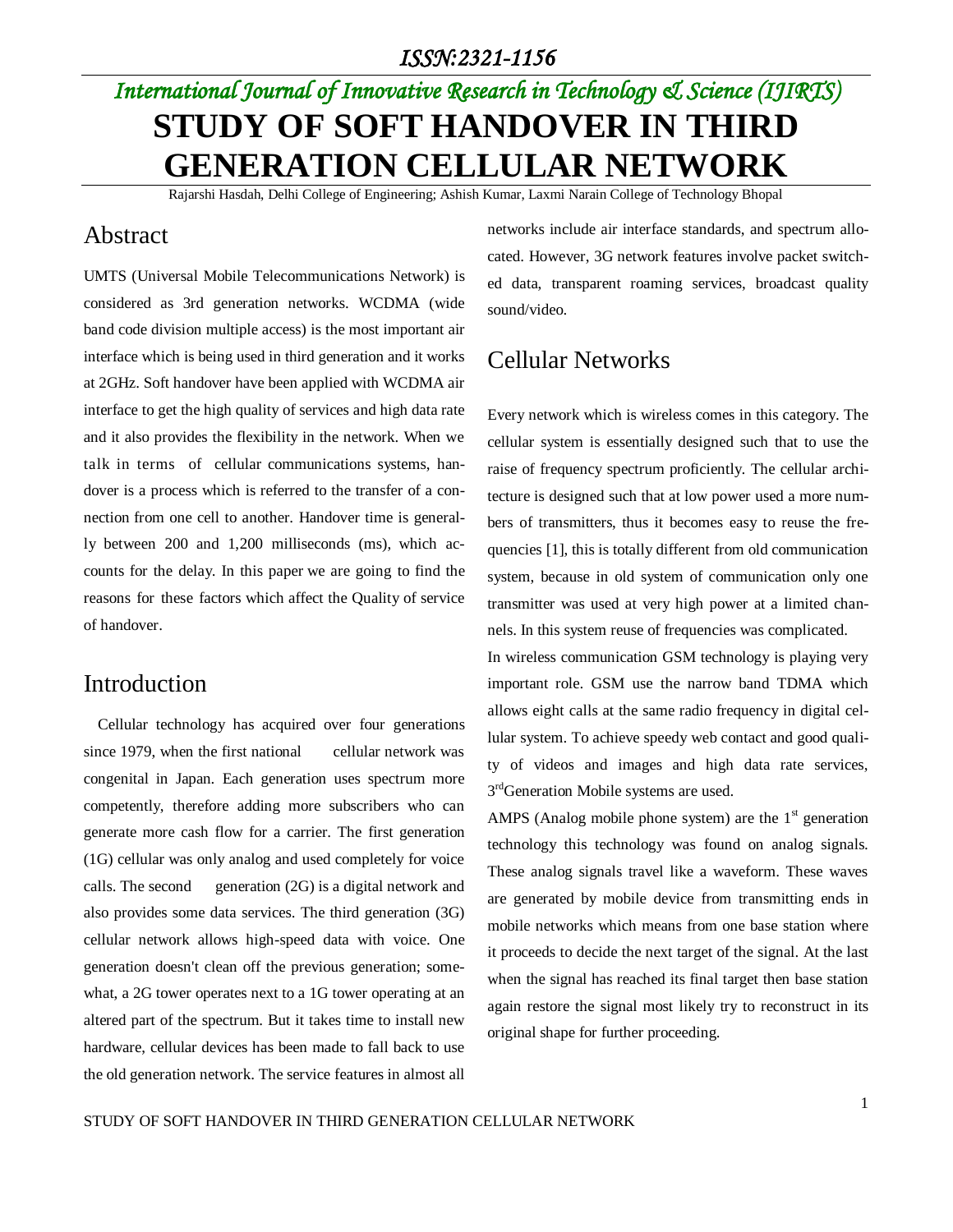# *International Journal of Innovative Research in Technology & Science (IJIRTS)* **STUDY OF SOFT HANDOVER IN THIRD GENERATION CELLULAR NETWORK**

Rajarshi Hasdah, Delhi College of Engineering; Ashish Kumar, Laxmi Narain College of Technology Bhopal

## Abstract

UMTS (Universal Mobile Telecommunications Network) is considered as 3rd generation networks. WCDMA (wide band code division multiple access) is the most important air interface which is being used in third generation and it works at 2GHz. Soft handover have been applied with WCDMA air interface to get the high quality of services and high data rate and it also provides the flexibility in the network. When we talk in terms of cellular communications systems, handover is a process which is referred to the transfer of a connection from one cell to another. Handover time is generally between 200 and 1,200 milliseconds (ms), which accounts for the delay. In this paper we are going to find the reasons for these factors which affect the Quality of service of handover.

## Introduction

Cellular technology has acquired over four generations since 1979, when the first national cellular network was congenital in Japan. Each generation uses spectrum more competently, therefore adding more subscribers who can generate more cash flow for a carrier. The first generation (1G) cellular was only analog and used completely for voice calls. The second generation (2G) is a digital network and also provides some data services. The third generation (3G) cellular network allows high-speed data with voice. One generation doesn't clean off the previous generation; somewhat, a 2G tower operates next to a 1G tower operating at an altered part of the spectrum. But it takes time to install new hardware, cellular devices has been made to fall back to use the old generation network. The service features in almost all networks include air interface standards, and spectrum allocated. However, 3G network features involve packet switched data, transparent roaming services, broadcast quality sound/video.

# Cellular Networks

Every network which is wireless comes in this category. The cellular system is essentially designed such that to use the raise of frequency spectrum proficiently. The cellular architecture is designed such that at low power used a more numbers of transmitters, thus it becomes easy to reuse the frequencies [1], this is totally different from old communication system, because in old system of communication only one transmitter was used at very high power at a limited channels. In this system reuse of frequencies was complicated.

In wireless communication GSM technology is playing very important role. GSM use the narrow band TDMA which allows eight calls at the same radio frequency in digital cellular system. To achieve speedy web contact and good quality of videos and images and high data rate services, 3<sup>rd</sup>Generation Mobile systems are used.

AMPS (Analog mobile phone system) are the  $1<sup>st</sup>$  generation technology this technology was found on analog signals. These analog signals travel like a waveform. These waves are generated by mobile device from transmitting ends in mobile networks which means from one base station where it proceeds to decide the next target of the signal. At the last when the signal has reached its final target then base station again restore the signal most likely try to reconstruct in its original shape for further proceeding.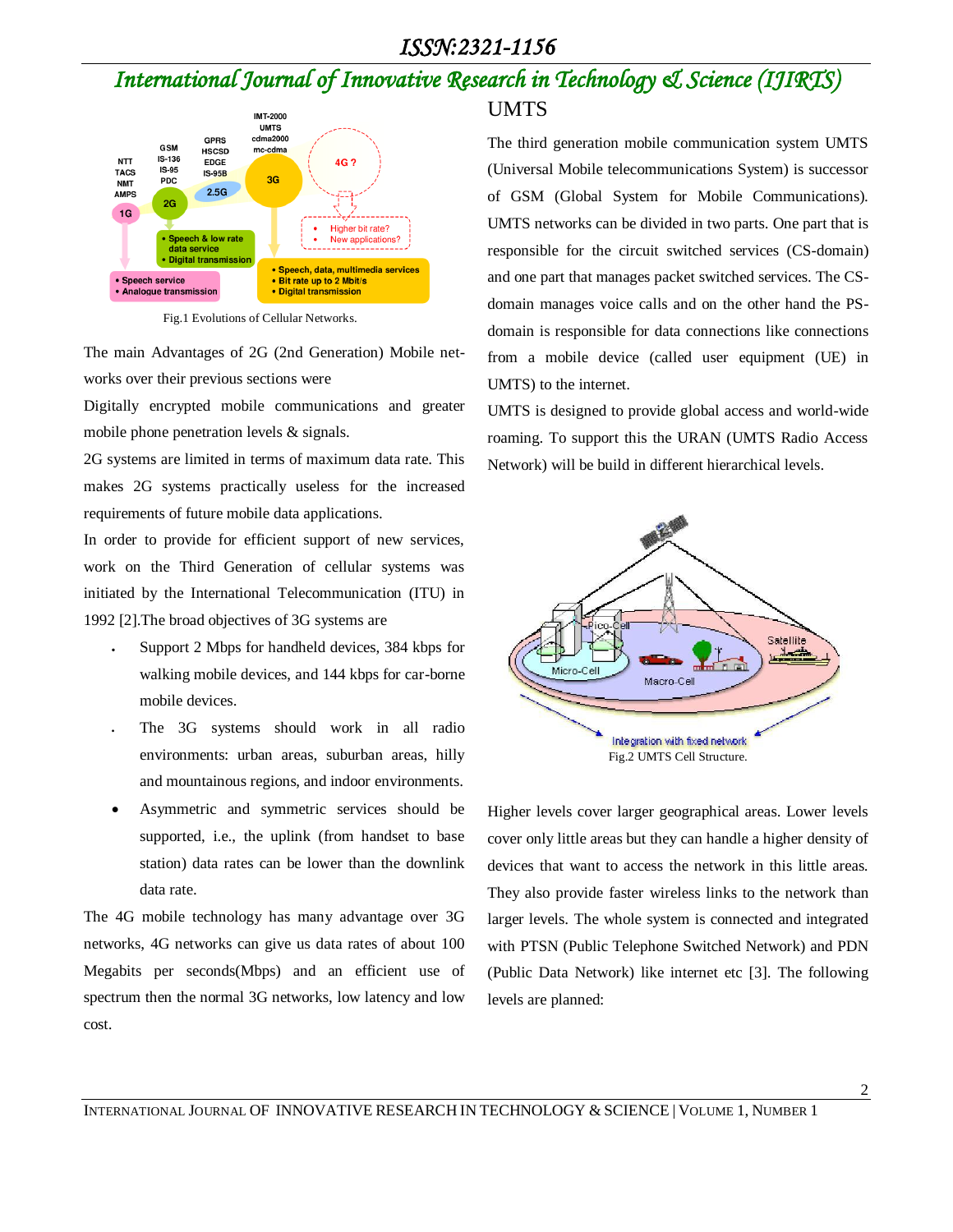# *International Journal of Innovative Research in Technology & Science (IJIRTS)*



Fig.1 Evolutions of Cellular Networks.

The main Advantages of 2G (2nd Generation) Mobile networks over their previous sections were

Digitally encrypted mobile communications and greater mobile phone penetration levels & signals.

2G systems are limited in terms of maximum data rate. This makes 2G systems practically useless for the increased requirements of future mobile data applications.

In order to provide for efficient support of new services, work on the Third Generation of cellular systems was initiated by the International Telecommunication (ITU) in 1992 [2].The broad objectives of 3G systems are

- Support 2 Mbps for handheld devices, 384 kbps for walking mobile devices, and 144 kbps for car-borne mobile devices.
- The 3G systems should work in all radio environments: urban areas, suburban areas, hilly and mountainous regions, and indoor environments.
- Asymmetric and symmetric services should be supported, i.e., the uplink (from handset to base station) data rates can be lower than the downlink data rate.

The 4G mobile technology has many advantage over 3G networks, 4G networks can give us data rates of about 100 Megabits per seconds(Mbps) and an efficient use of spectrum then the normal 3G networks, low latency and low cost.

### UMTS

The third generation mobile communication system UMTS (Universal Mobile telecommunications System) is successor of GSM (Global System for Mobile Communications). UMTS networks can be divided in two parts. One part that is responsible for the circuit switched services (CS-domain) and one part that manages packet switched services. The CSdomain manages voice calls and on the other hand the PSdomain is responsible for data connections like connections from a mobile device (called user equipment (UE) in UMTS) to the internet.

UMTS is designed to provide global access and world-wide roaming. To support this the URAN (UMTS Radio Access Network) will be build in different hierarchical levels.



Higher levels cover larger geographical areas. Lower levels cover only little areas but they can handle a higher density of devices that want to access the network in this little areas. They also provide faster wireless links to the network than larger levels. The whole system is connected and integrated with PTSN (Public Telephone Switched Network) and PDN (Public Data Network) like internet etc [3]. The following levels are planned: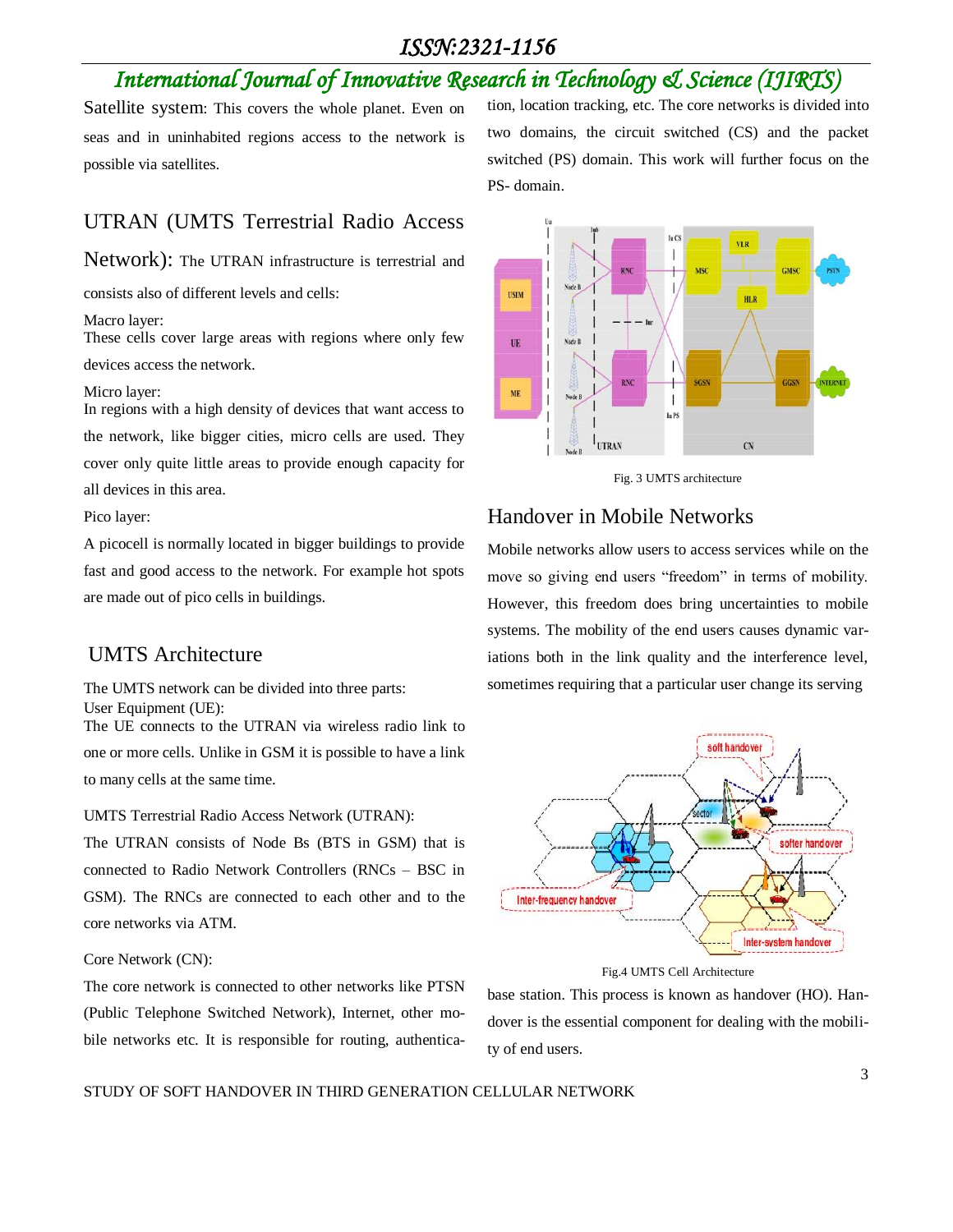# *International Journal of Innovative Research in Technology & Science (IJIRTS)*

Satellite system: This covers the whole planet. Even on seas and in uninhabited regions access to the network is possible via satellites.

### UTRAN (UMTS Terrestrial Radio Access

Network): The UTRAN infrastructure is terrestrial and

consists also of different levels and cells:

Macro layer:

These cells cover large areas with regions where only few devices access the network.

#### Micro layer:

In regions with a high density of devices that want access to the network, like bigger cities, micro cells are used. They cover only quite little areas to provide enough capacity for all devices in this area.

Pico layer:

A picocell is normally located in bigger buildings to provide fast and good access to the network. For example hot spots are made out of pico cells in buildings.

### UMTS Architecture

The UMTS network can be divided into three parts: User Equipment (UE):

The UE connects to the UTRAN via wireless radio link to one or more cells. Unlike in GSM it is possible to have a link to many cells at the same time.

UMTS Terrestrial Radio Access Network (UTRAN):

The UTRAN consists of Node Bs (BTS in GSM) that is connected to Radio Network Controllers (RNCs – BSC in GSM). The RNCs are connected to each other and to the core networks via ATM.

Core Network (CN):

The core network is connected to other networks like PTSN (Public Telephone Switched Network), Internet, other mobile networks etc. It is responsible for routing, authentication, location tracking, etc. The core networks is divided into two domains, the circuit switched (CS) and the packet switched (PS) domain. This work will further focus on the PS- domain.



Fig. 3 UMTS architecture

## Handover in Mobile Networks

Mobile networks allow users to access services while on the move so giving end users "freedom" in terms of mobility. However, this freedom does bring uncertainties to mobile systems. The mobility of the end users causes dynamic variations both in the link quality and the interference level, sometimes requiring that a particular user change its serving



#### Fig.4 UMTS Cell Architecture

base station. This process is known as handover (HO). Handover is the essential component for dealing with the mobility of end users.

#### STUDY OF SOFT HANDOVER IN THIRD GENERATION CELLULAR NETWORK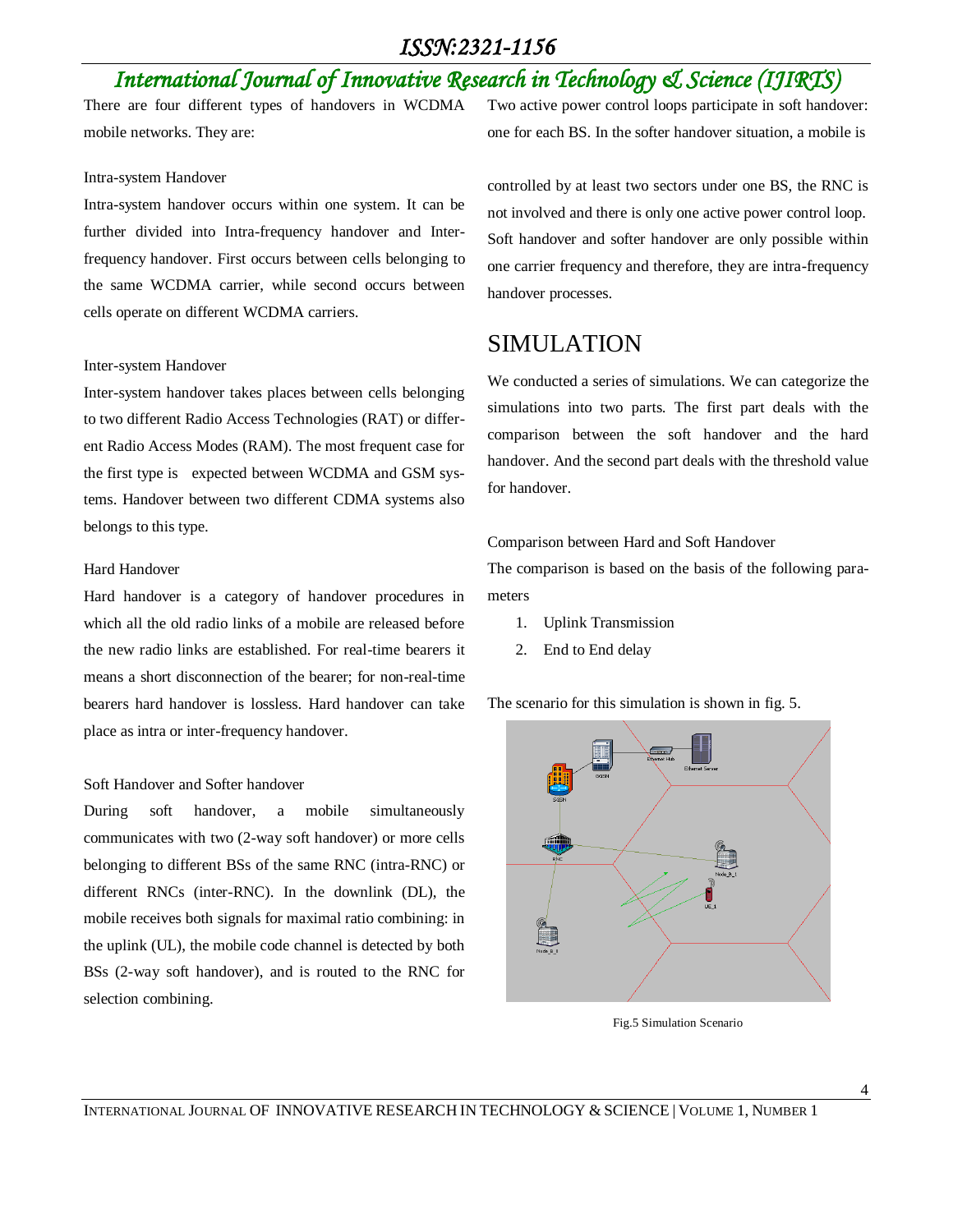# *International Journal of Innovative Research in Technology & Science (IJIRTS)*

There are four different types of handovers in WCDMA mobile networks. They are:

#### Intra-system Handover

Intra-system handover occurs within one system. It can be further divided into Intra-frequency handover and Interfrequency handover. First occurs between cells belonging to the same WCDMA carrier, while second occurs between cells operate on different WCDMA carriers.

#### Inter-system Handover

Inter-system handover takes places between cells belonging to two different Radio Access Technologies (RAT) or different Radio Access Modes (RAM). The most frequent case for the first type is expected between WCDMA and GSM systems. Handover between two different CDMA systems also belongs to this type.

#### Hard Handover

Hard handover is a category of handover procedures in which all the old radio links of a mobile are released before the new radio links are established. For real-time bearers it means a short disconnection of the bearer; for non-real-time bearers hard handover is lossless. Hard handover can take place as intra or inter-frequency handover.

#### Soft Handover and Softer handover

During soft handover, a mobile simultaneously communicates with two (2-way soft handover) or more cells belonging to different BSs of the same RNC (intra-RNC) or different RNCs (inter-RNC). In the downlink (DL), the mobile receives both signals for maximal ratio combining: in the uplink (UL), the mobile code channel is detected by both BSs (2-way soft handover), and is routed to the RNC for selection combining.

Two active power control loops participate in soft handover: one for each BS. In the softer handover situation, a mobile is

controlled by at least two sectors under one BS, the RNC is not involved and there is only one active power control loop. Soft handover and softer handover are only possible within one carrier frequency and therefore, they are intra-frequency handover processes.

# SIMULATION

We conducted a series of simulations. We can categorize the simulations into two parts. The first part deals with the comparison between the soft handover and the hard handover. And the second part deals with the threshold value for handover.

Comparison between Hard and Soft Handover

The comparison is based on the basis of the following parameters

- 1. Uplink Transmission
- 2. End to End delay

The scenario for this simulation is shown in fig. 5.



Fig.5 Simulation Scenario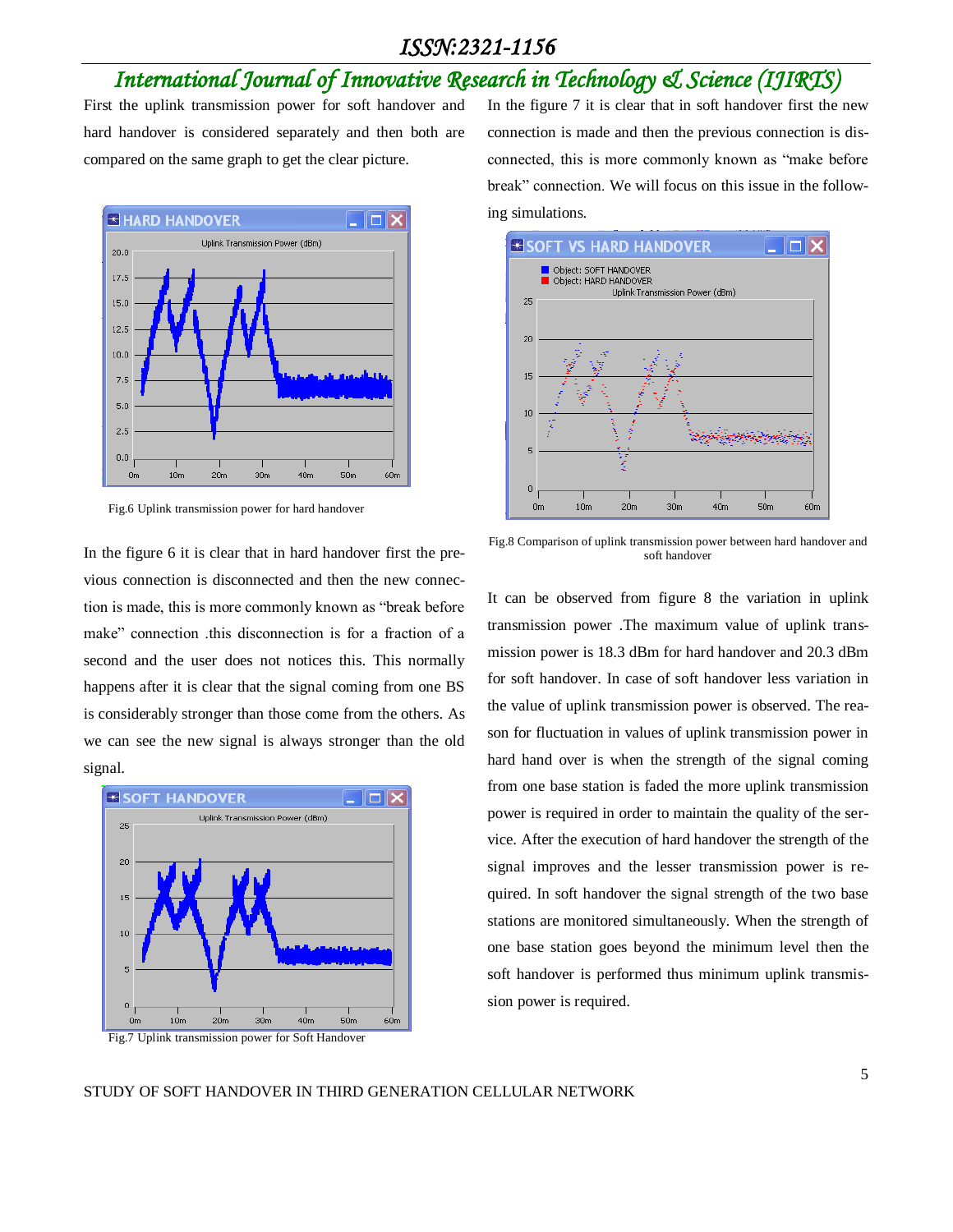# *International Journal of Innovative Research in Technology & Science (IJIRTS)*

First the uplink transmission power for soft handover and hard handover is considered separately and then both are compared on the same graph to get the clear picture.



Fig.6 Uplink transmission power for hard handover

In the figure 6 it is clear that in hard handover first the previous connection is disconnected and then the new connection is made, this is more commonly known as "break before make" connection .this disconnection is for a fraction of a second and the user does not notices this. This normally happens after it is clear that the signal coming from one BS is considerably stronger than those come from the others. As we can see the new signal is always stronger than the old signal.





In the figure 7 it is clear that in soft handover first the new connection is made and then the previous connection is disconnected, this is more commonly known as "make before break" connection. We will focus on this issue in the following simulations.



Fig.8 Comparison of uplink transmission power between hard handover and soft handover

It can be observed from figure 8 the variation in uplink transmission power .The maximum value of uplink transmission power is 18.3 dBm for hard handover and 20.3 dBm for soft handover. In case of soft handover less variation in the value of uplink transmission power is observed. The reason for fluctuation in values of uplink transmission power in hard hand over is when the strength of the signal coming from one base station is faded the more uplink transmission power is required in order to maintain the quality of the service. After the execution of hard handover the strength of the signal improves and the lesser transmission power is required. In soft handover the signal strength of the two base stations are monitored simultaneously. When the strength of one base station goes beyond the minimum level then the soft handover is performed thus minimum uplink transmission power is required.

#### STUDY OF SOFT HANDOVER IN THIRD GENERATION CELLULAR NETWORK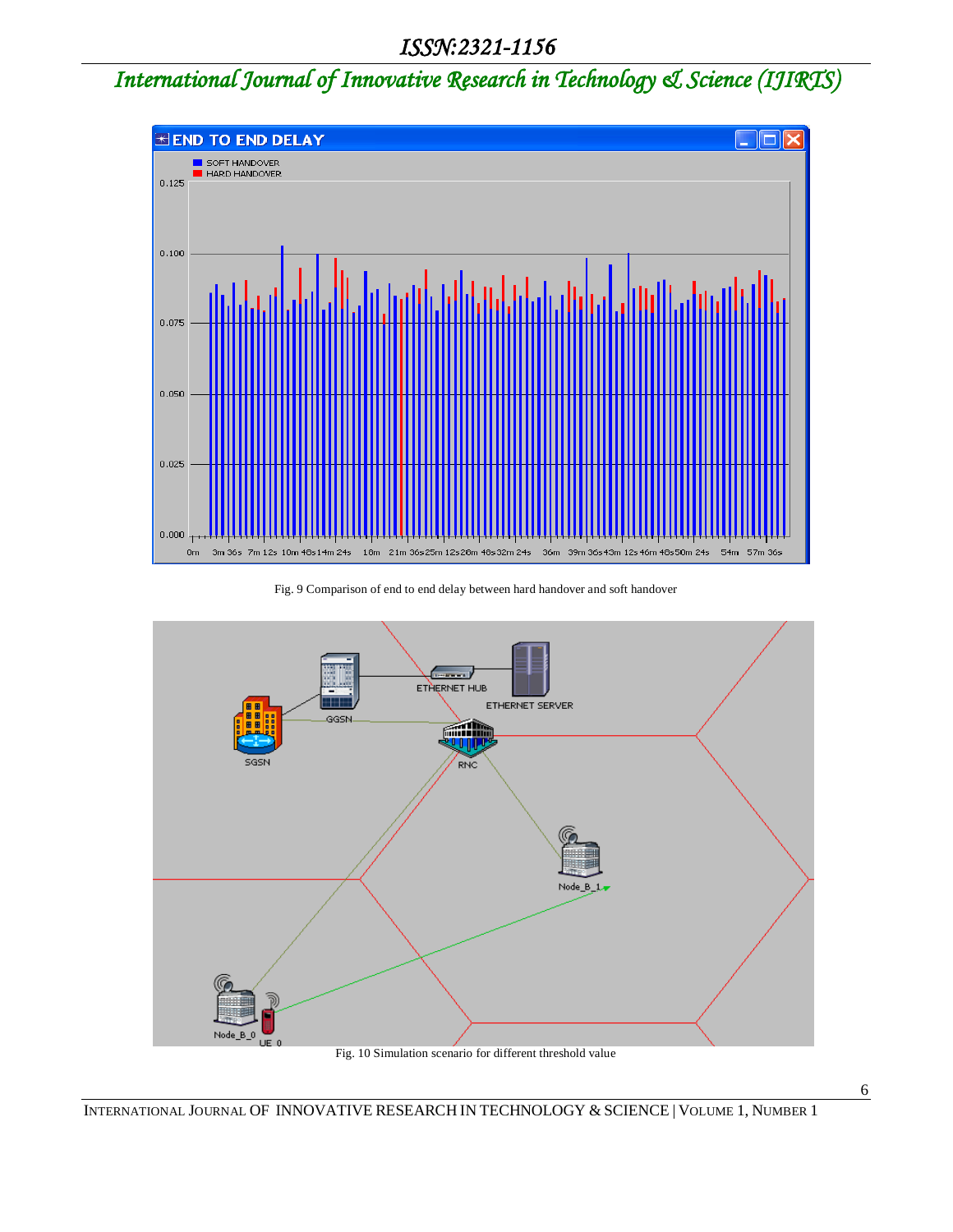# *International Journal of Innovative Research in Technology & Science (IJIRTS)*



#### Fig. 9 Comparison of end to end delay between hard handover and soft handover



Fig. 10 Simulation scenario for different threshold value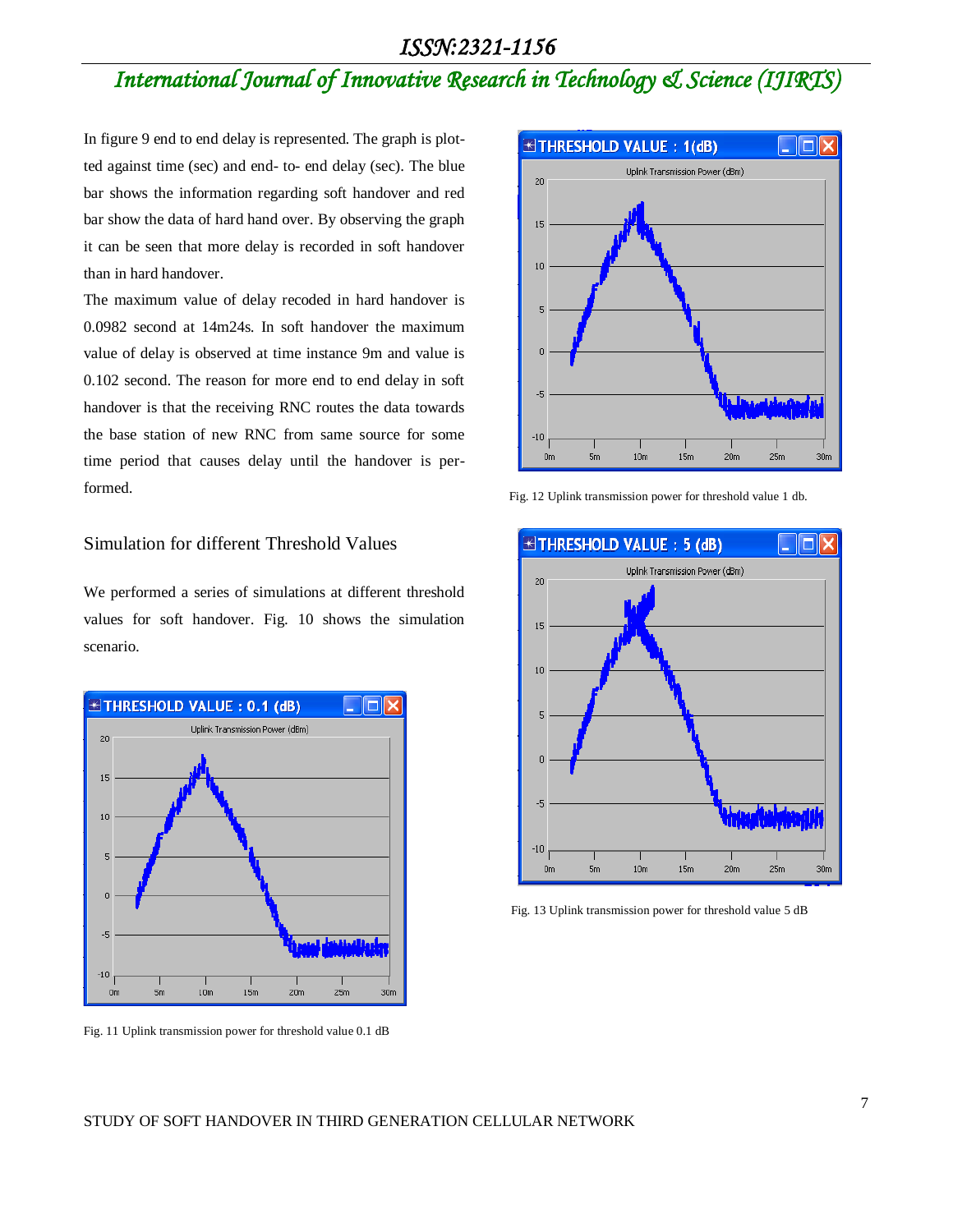# *International Journal of Innovative Research in Technology & Science (IJIRTS)*

In figure 9 end to end delay is represented. The graph is plotted against time (sec) and end- to- end delay (sec). The blue bar shows the information regarding soft handover and red bar show the data of hard hand over. By observing the graph it can be seen that more delay is recorded in soft handover than in hard handover.

The maximum value of delay recoded in hard handover is 0.0982 second at 14m24s. In soft handover the maximum value of delay is observed at time instance 9m and value is 0.102 second. The reason for more end to end delay in soft handover is that the receiving RNC routes the data towards the base station of new RNC from same source for some time period that causes delay until the handover is performed.

### Simulation for different Threshold Values

We performed a series of simulations at different threshold values for soft handover. Fig. 10 shows the simulation scenario.



Fig. 11 Uplink transmission power for threshold value 0.1 dB



Fig. 12 Uplink transmission power for threshold value 1 db.



Fig. 13 Uplink transmission power for threshold value 5 dB

#### STUDY OF SOFT HANDOVER IN THIRD GENERATION CELLULAR NETWORK